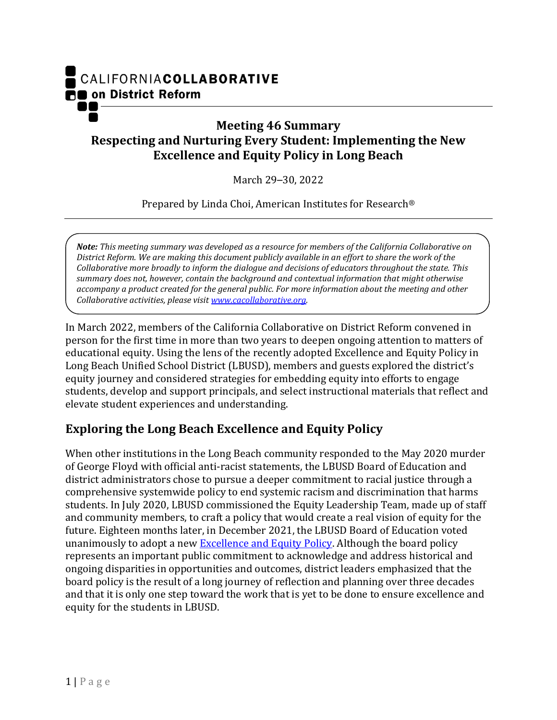

## **Meeting 46 Summary Respecting and Nurturing Every Student: Implementing the New Excellence and Equity Policy in Long Beach**

March 29–30, 2022

Prepared by Linda Choi, American Institutes for Research®

*Note: This meeting summary was developed as a resource for members of the California Collaborative on District Reform. We are making this document publicly available in an effort to share the work of the Collaborative more broadly to inform the dialogue and decisions of educators throughout the state. This summary does not, however, contain the background and contextual information that might otherwise accompany a product created for the general public. For more information about the meeting and other Collaborative activities, please visit [www.cacollaborative.org.](http://www.cacollaborative.org/)*

In March 2022, members of the California Collaborative on District Reform convened in person for the first time in more than two years to deepen ongoing attention to matters of educational equity. Using the lens of the recently adopted Excellence and Equity Policy in Long Beach Unified School District (LBUSD), members and guests explored the district's equity journey and considered strategies for embedding equity into efforts to engage students, develop and support principals, and select instructional materials that reflect and elevate student experiences and understanding.

## **Exploring the Long Beach Excellence and Equity Policy**

When other institutions in the Long Beach community responded to the May 2020 murder of George Floyd with official anti-racist statements, the LBUSD Board of Education and district administrators chose to pursue a deeper commitment to racial justice through a comprehensive systemwide policy to end systemic racism and discrimination that harms students. In July 2020, LBUSD commissioned the Equity Leadership Team, made up of staff and community members, to craft a policy that would create a real vision of equity for the future. Eighteen months later, in December 2021, the LBUSD Board of Education voted unanimously to adopt a new **Excellence and Equity Policy**. Although the board policy represents an important public commitment to acknowledge and address historical and ongoing disparities in opportunities and outcomes, district leaders emphasized that the board policy is the result of a long journey of reflection and planning over three decades and that it is only one step toward the work that is yet to be done to ensure excellence and equity for the students in LBUSD.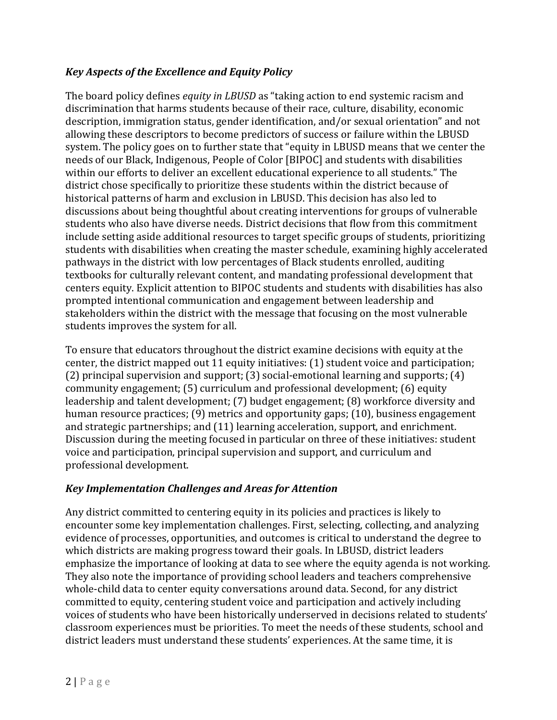## *Key Aspects of the Excellence and Equity Policy*

The board policy defines *equity in LBUSD* as "taking action to end systemic racism and discrimination that harms students because of their race, culture, disability, economic description, immigration status, gender identification, and/or sexual orientation" and not allowing these descriptors to become predictors of success or failure within the LBUSD system. The policy goes on to further state that "equity in LBUSD means that we center the needs of our Black, Indigenous, People of Color [BIPOC] and students with disabilities within our efforts to deliver an excellent educational experience to all students." The district chose specifically to prioritize these students within the district because of historical patterns of harm and exclusion in LBUSD. This decision has also led to discussions about being thoughtful about creating interventions for groups of vulnerable students who also have diverse needs. District decisions that flow from this commitment include setting aside additional resources to target specific groups of students, prioritizing students with disabilities when creating the master schedule, examining highly accelerated pathways in the district with low percentages of Black students enrolled, auditing textbooks for culturally relevant content, and mandating professional development that centers equity. Explicit attention to BIPOC students and students with disabilities has also prompted intentional communication and engagement between leadership and stakeholders within the district with the message that focusing on the most vulnerable students improves the system for all.

To ensure that educators throughout the district examine decisions with equity at the center, the district mapped out 11 equity initiatives: (1) student voice and participation; (2) principal supervision and support; (3) social-emotional learning and supports; (4) community engagement; (5) curriculum and professional development; (6) equity leadership and talent development; (7) budget engagement; (8) workforce diversity and human resource practices; (9) metrics and opportunity gaps; (10), business engagement and strategic partnerships; and (11) learning acceleration, support, and enrichment. Discussion during the meeting focused in particular on three of these initiatives: student voice and participation, principal supervision and support, and curriculum and professional development.

#### *Key Implementation Challenges and Areas for Attention*

Any district committed to centering equity in its policies and practices is likely to encounter some key implementation challenges. First, selecting, collecting, and analyzing evidence of processes, opportunities, and outcomes is critical to understand the degree to which districts are making progress toward their goals. In LBUSD, district leaders emphasize the importance of looking at data to see where the equity agenda is not working. They also note the importance of providing school leaders and teachers comprehensive whole-child data to center equity conversations around data. Second, for any district committed to equity, centering student voice and participation and actively including voices of students who have been historically underserved in decisions related to students' classroom experiences must be priorities. To meet the needs of these students, school and district leaders must understand these students' experiences. At the same time, it is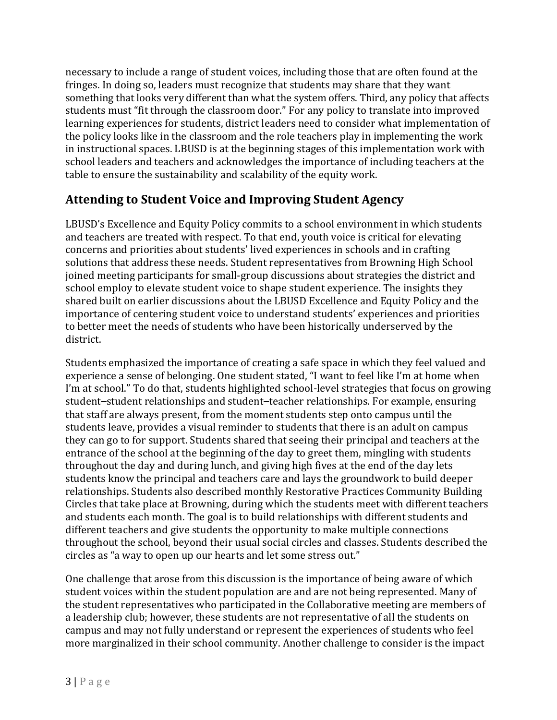necessary to include a range of student voices, including those that are often found at the fringes. In doing so, leaders must recognize that students may share that they want something that looks very different than what the system offers. Third, any policy that affects students must "fit through the classroom door." For any policy to translate into improved learning experiences for students, district leaders need to consider what implementation of the policy looks like in the classroom and the role teachers play in implementing the work in instructional spaces. LBUSD is at the beginning stages of this implementation work with school leaders and teachers and acknowledges the importance of including teachers at the table to ensure the sustainability and scalability of the equity work.

## **Attending to Student Voice and Improving Student Agency**

LBUSD's Excellence and Equity Policy commits to a school environment in which students and teachers are treated with respect. To that end, youth voice is critical for elevating concerns and priorities about students' lived experiences in schools and in crafting solutions that address these needs. Student representatives from Browning High School joined meeting participants for small-group discussions about strategies the district and school employ to elevate student voice to shape student experience. The insights they shared built on earlier discussions about the LBUSD Excellence and Equity Policy and the importance of centering student voice to understand students' experiences and priorities to better meet the needs of students who have been historically underserved by the district.

Students emphasized the importance of creating a safe space in which they feel valued and experience a sense of belonging. One student stated, "I want to feel like I'm at home when I'm at school." To do that, students highlighted school-level strategies that focus on growing student–student relationships and student–teacher relationships. For example, ensuring that staff are always present, from the moment students step onto campus until the students leave, provides a visual reminder to students that there is an adult on campus they can go to for support. Students shared that seeing their principal and teachers at the entrance of the school at the beginning of the day to greet them, mingling with students throughout the day and during lunch, and giving high fives at the end of the day lets students know the principal and teachers care and lays the groundwork to build deeper relationships. Students also described monthly Restorative Practices Community Building Circles that take place at Browning, during which the students meet with different teachers and students each month. The goal is to build relationships with different students and different teachers and give students the opportunity to make multiple connections throughout the school, beyond their usual social circles and classes. Students described the circles as "a way to open up our hearts and let some stress out."

One challenge that arose from this discussion is the importance of being aware of which student voices within the student population are and are not being represented. Many of the student representatives who participated in the Collaborative meeting are members of a leadership club; however, these students are not representative of all the students on campus and may not fully understand or represent the experiences of students who feel more marginalized in their school community. Another challenge to consider is the impact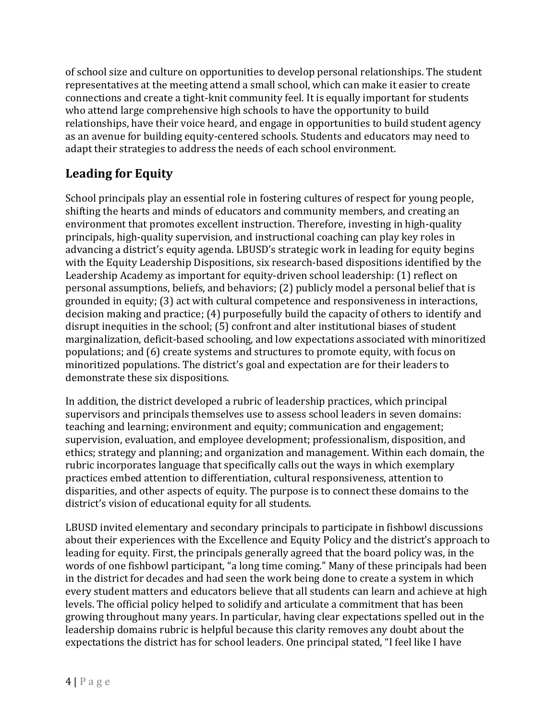of school size and culture on opportunities to develop personal relationships. The student representatives at the meeting attend a small school, which can make it easier to create connections and create a tight-knit community feel. It is equally important for students who attend large comprehensive high schools to have the opportunity to build relationships, have their voice heard, and engage in opportunities to build student agency as an avenue for building equity-centered schools. Students and educators may need to adapt their strategies to address the needs of each school environment.

# **Leading for Equity**

School principals play an essential role in fostering cultures of respect for young people, shifting the hearts and minds of educators and community members, and creating an environment that promotes excellent instruction. Therefore, investing in high-quality principals, high-quality supervision, and instructional coaching can play key roles in advancing a district's equity agenda. LBUSD's strategic work in leading for equity begins with the Equity Leadership Dispositions, six research-based dispositions identified by the Leadership Academy as important for equity-driven school leadership: (1) reflect on personal assumptions, beliefs, and behaviors; (2) publicly model a personal belief that is grounded in equity; (3) act with cultural competence and responsiveness in interactions, decision making and practice; (4) purposefully build the capacity of others to identify and disrupt inequities in the school; (5) confront and alter institutional biases of student marginalization, deficit-based schooling, and low expectations associated with minoritized populations; and (6) create systems and structures to promote equity, with focus on minoritized populations. The district's goal and expectation are for their leaders to demonstrate these six dispositions.

In addition, the district developed a rubric of leadership practices, which principal supervisors and principals themselves use to assess school leaders in seven domains: teaching and learning; environment and equity; communication and engagement; supervision, evaluation, and employee development; professionalism, disposition, and ethics; strategy and planning; and organization and management. Within each domain, the rubric incorporates language that specifically calls out the ways in which exemplary practices embed attention to differentiation, cultural responsiveness, attention to disparities, and other aspects of equity. The purpose is to connect these domains to the district's vision of educational equity for all students.

LBUSD invited elementary and secondary principals to participate in fishbowl discussions about their experiences with the Excellence and Equity Policy and the district's approach to leading for equity. First, the principals generally agreed that the board policy was, in the words of one fishbowl participant, "a long time coming." Many of these principals had been in the district for decades and had seen the work being done to create a system in which every student matters and educators believe that all students can learn and achieve at high levels. The official policy helped to solidify and articulate a commitment that has been growing throughout many years. In particular, having clear expectations spelled out in the leadership domains rubric is helpful because this clarity removes any doubt about the expectations the district has for school leaders. One principal stated, "I feel like I have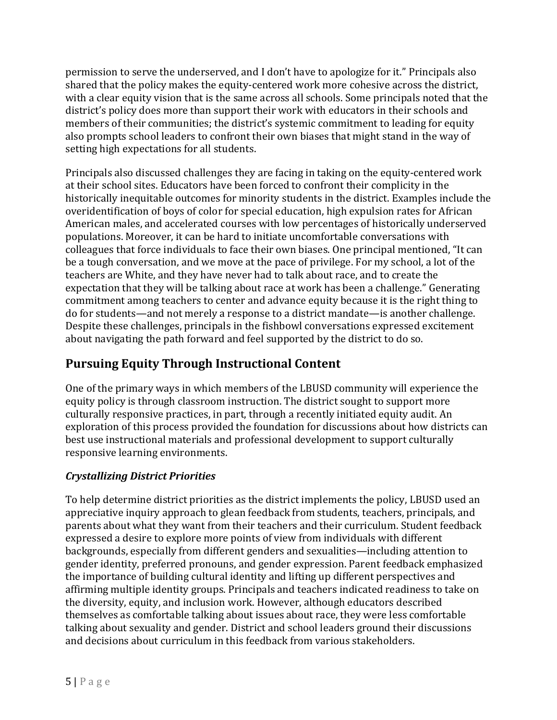permission to serve the underserved, and I don't have to apologize for it." Principals also shared that the policy makes the equity-centered work more cohesive across the district, with a clear equity vision that is the same across all schools. Some principals noted that the district's policy does more than support their work with educators in their schools and members of their communities; the district's systemic commitment to leading for equity also prompts school leaders to confront their own biases that might stand in the way of setting high expectations for all students.

Principals also discussed challenges they are facing in taking on the equity-centered work at their school sites. Educators have been forced to confront their complicity in the historically inequitable outcomes for minority students in the district. Examples include the overidentification of boys of color for special education, high expulsion rates for African American males, and accelerated courses with low percentages of historically underserved populations. Moreover, it can be hard to initiate uncomfortable conversations with colleagues that force individuals to face their own biases. One principal mentioned, "It can be a tough conversation, and we move at the pace of privilege. For my school, a lot of the teachers are White, and they have never had to talk about race, and to create the expectation that they will be talking about race at work has been a challenge." Generating commitment among teachers to center and advance equity because it is the right thing to do for students—and not merely a response to a district mandate—is another challenge. Despite these challenges, principals in the fishbowl conversations expressed excitement about navigating the path forward and feel supported by the district to do so.

# **Pursuing Equity Through Instructional Content**

One of the primary ways in which members of the LBUSD community will experience the equity policy is through classroom instruction. The district sought to support more culturally responsive practices, in part, through a recently initiated equity audit. An exploration of this process provided the foundation for discussions about how districts can best use instructional materials and professional development to support culturally responsive learning environments.

## *Crystallizing District Priorities*

To help determine district priorities as the district implements the policy, LBUSD used an appreciative inquiry approach to glean feedback from students, teachers, principals, and parents about what they want from their teachers and their curriculum. Student feedback expressed a desire to explore more points of view from individuals with different backgrounds, especially from different genders and sexualities—including attention to gender identity, preferred pronouns, and gender expression. Parent feedback emphasized the importance of building cultural identity and lifting up different perspectives and affirming multiple identity groups. Principals and teachers indicated readiness to take on the diversity, equity, and inclusion work. However, although educators described themselves as comfortable talking about issues about race, they were less comfortable talking about sexuality and gender. District and school leaders ground their discussions and decisions about curriculum in this feedback from various stakeholders.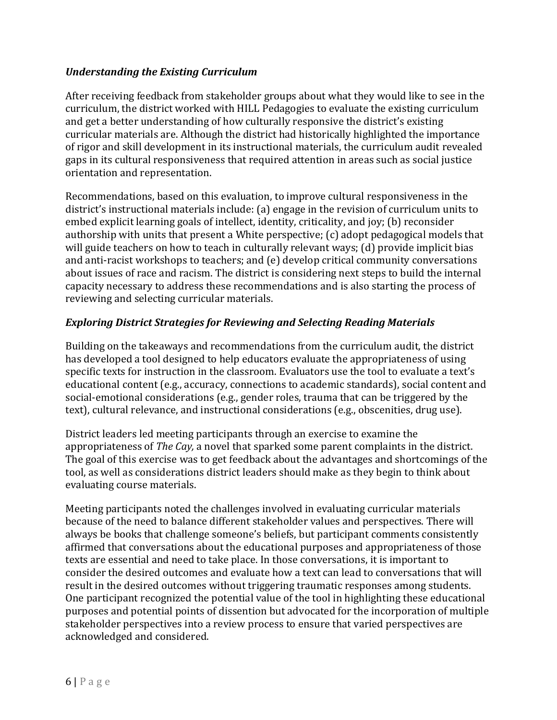### *Understanding the Existing Curriculum*

After receiving feedback from stakeholder groups about what they would like to see in the curriculum, the district worked with HILL Pedagogies to evaluate the existing curriculum and get a better understanding of how culturally responsive the district's existing curricular materials are. Although the district had historically highlighted the importance of rigor and skill development in its instructional materials, the curriculum audit revealed gaps in its cultural responsiveness that required attention in areas such as social justice orientation and representation.

Recommendations, based on this evaluation, to improve cultural responsiveness in the district's instructional materials include: (a) engage in the revision of curriculum units to embed explicit learning goals of intellect, identity, criticality, and joy; (b) reconsider authorship with units that present a White perspective; (c) adopt pedagogical models that will guide teachers on how to teach in culturally relevant ways; (d) provide implicit bias and anti-racist workshops to teachers; and (e) develop critical community conversations about issues of race and racism. The district is considering next steps to build the internal capacity necessary to address these recommendations and is also starting the process of reviewing and selecting curricular materials.

### *Exploring District Strategies for Reviewing and Selecting Reading Materials*

Building on the takeaways and recommendations from the curriculum audit, the district has developed a tool designed to help educators evaluate the appropriateness of using specific texts for instruction in the classroom. Evaluators use the tool to evaluate a text's educational content (e.g., accuracy, connections to academic standards), social content and social-emotional considerations (e.g., gender roles, trauma that can be triggered by the text), cultural relevance, and instructional considerations (e.g., obscenities, drug use).

District leaders led meeting participants through an exercise to examine the appropriateness of *The Cay,* a novel that sparked some parent complaints in the district. The goal of this exercise was to get feedback about the advantages and shortcomings of the tool, as well as considerations district leaders should make as they begin to think about evaluating course materials.

Meeting participants noted the challenges involved in evaluating curricular materials because of the need to balance different stakeholder values and perspectives. There will always be books that challenge someone's beliefs, but participant comments consistently affirmed that conversations about the educational purposes and appropriateness of those texts are essential and need to take place. In those conversations, it is important to consider the desired outcomes and evaluate how a text can lead to conversations that will result in the desired outcomes without triggering traumatic responses among students. One participant recognized the potential value of the tool in highlighting these educational purposes and potential points of dissention but advocated for the incorporation of multiple stakeholder perspectives into a review process to ensure that varied perspectives are acknowledged and considered.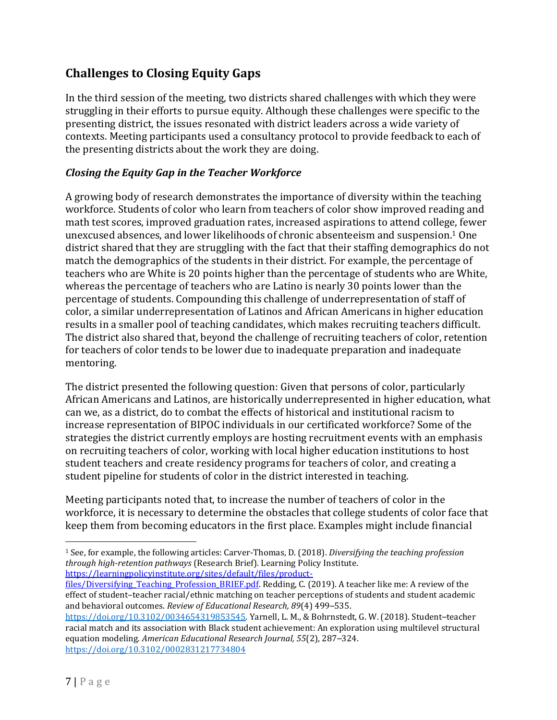# **Challenges to Closing Equity Gaps**

In the third session of the meeting, two districts shared challenges with which they were struggling in their efforts to pursue equity. Although these challenges were specific to the presenting district, the issues resonated with district leaders across a wide variety of contexts. Meeting participants used a consultancy protocol to provide feedback to each of the presenting districts about the work they are doing.

### *Closing the Equity Gap in the Teacher Workforce*

A growing body of research demonstrates the importance of diversity within the teaching workforce. Students of color who learn from teachers of color show improved reading and math test scores, improved graduation rates, increased aspirations to attend college, fewer unexcused absences, and lower likelihoods of chronic absenteeism and suspension. <sup>1</sup> One district shared that they are struggling with the fact that their staffing demographics do not match the demographics of the students in their district. For example, the percentage of teachers who are White is 20 points higher than the percentage of students who are White, whereas the percentage of teachers who are Latino is nearly 30 points lower than the percentage of students. Compounding this challenge of underrepresentation of staff of color, a similar underrepresentation of Latinos and African Americans in higher education results in a smaller pool of teaching candidates, which makes recruiting teachers difficult. The district also shared that, beyond the challenge of recruiting teachers of color, retention for teachers of color tends to be lower due to inadequate preparation and inadequate mentoring.

The district presented the following question: Given that persons of color, particularly African Americans and Latinos, are historically underrepresented in higher education, what can we, as a district, do to combat the effects of historical and institutional racism to increase representation of BIPOC individuals in our certificated workforce? Some of the strategies the district currently employs are hosting recruitment events with an emphasis on recruiting teachers of color, working with local higher education institutions to host student teachers and create residency programs for teachers of color, and creating a student pipeline for students of color in the district interested in teaching.

Meeting participants noted that, to increase the number of teachers of color in the workforce, it is necessary to determine the obstacles that college students of color face that keep them from becoming educators in the first place. Examples might include financial

<sup>1</sup> See, for example, the following articles: Carver-Thomas, D. (2018). *Diversifying the teaching profession through high-retention pathways* (Research Brief). Learning Policy Institute. [https://learningpolicyinstitute.org/sites/default/files/product-](https://learningpolicyinstitute.org/sites/default/files/product-files/Diversifying_Teaching_Profession_BRIEF.pdf)

files/Diversifying Teaching Profession BRIEF.pdf. Redding, C. (2019). A teacher like me: A review of the effect of student–teacher racial/ethnic matching on teacher perceptions of students and student academic and behavioral outcomes. *Review of Educational Research, 89*(4) 499–535.

[https://doi.org/10.3102/0034654319853545.](https://doi.org/10.3102%2F0034654319853545) Yarnell, L. M., & Bohrnstedt, G. W. (2018). Student–teacher racial match and its association with Black student achievement: An exploration using multilevel structural equation modeling. *American Educational Research Journal, 55*(2), 287–324. [https://doi.org/10.3102/0002831217734804](https://doi.org/10.3102%2F0002831217734804)